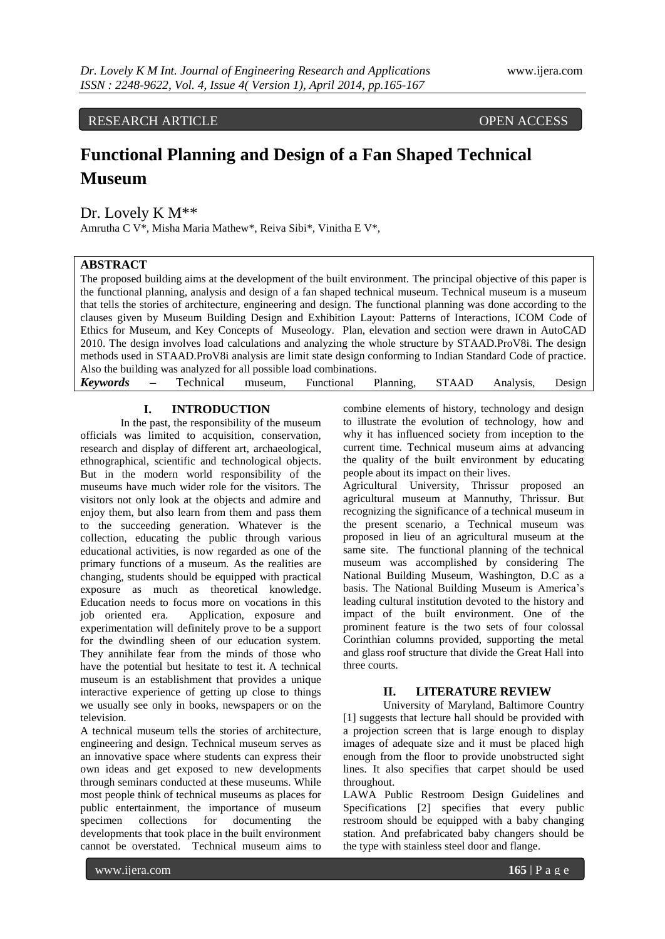RESEARCH ARTICLE OPEN ACCESS

# **Functional Planning and Design of a Fan Shaped Technical Museum**

Dr. Lovely K M\*\*

Amrutha C V\*, Misha Maria Mathew\*, Reiva Sibi\*, Vinitha E V\*,

# **ABSTRACT**

The proposed building aims at the development of the built environment. The principal objective of this paper is the functional planning, analysis and design of a fan shaped technical museum. Technical museum is a museum that tells the stories of architecture, engineering and design. The functional planning was done according to the clauses given by Museum Building Design and Exhibition Layout: Patterns of Interactions, ICOM Code of Ethics for Museum, and Key Concepts of Museology. Plan, elevation and section were drawn in AutoCAD 2010. The design involves load calculations and analyzing the whole structure by STAAD.ProV8i. The design methods used in STAAD.ProV8i analysis are limit state design conforming to Indian Standard Code of practice. Also the building was analyzed for all possible load combinations. *Keywords* **–** Technical museum, Functional Planning, STAAD Analysis, Design

## **I. INTRODUCTION**

In the past, the responsibility of the museum officials was limited to acquisition, conservation, research and display of different art, archaeological, ethnographical, scientific and technological objects. But in the modern world responsibility of the museums have much wider role for the visitors. The visitors not only look at the objects and admire and enjoy them, but also learn from them and pass them to the succeeding generation. Whatever is the collection, educating the public through various educational activities, is now regarded as one of the primary functions of a museum. As the realities are changing, students should be equipped with practical exposure as much as theoretical knowledge. Education needs to focus more on vocations in this job oriented era. Application, exposure and experimentation will definitely prove to be a support for the dwindling sheen of our education system. They annihilate fear from the minds of those who have the potential but hesitate to test it. A technical museum is an establishment that provides a unique interactive experience of getting up close to things we usually see only in books, newspapers or on the television.

A technical museum tells the stories of architecture, engineering and design. Technical museum serves as an innovative space where students can express their own ideas and get exposed to new developments through seminars conducted at these museums. While most people think of technical museums as places for public entertainment, the importance of museum specimen collections for documenting the developments that took place in the built environment cannot be overstated. Technical museum aims to

combine elements of history, technology and design to illustrate the evolution of technology, how and why it has influenced society from inception to the current time. Technical museum aims at advancing the quality of the built environment by educating people about its impact on their lives.

Agricultural University, Thrissur proposed an agricultural museum at Mannuthy, Thrissur. But recognizing the significance of a technical museum in the present scenario, a Technical museum was proposed in lieu of an agricultural museum at the same site. The functional planning of the technical museum was accomplished by considering The National Building Museum, Washington, D.C as a basis. The National Building Museum is America's leading cultural institution devoted to the history and impact of the built environment. One of the prominent feature is the two sets of four colossal Corinthian columns provided, supporting the metal and glass roof structure that divide the Great Hall into three courts.

#### **II. LITERATURE REVIEW**

University of Maryland, Baltimore Country [1] suggests that lecture hall should be provided with a projection screen that is large enough to display images of adequate size and it must be placed high enough from the floor to provide unobstructed sight lines. It also specifies that carpet should be used throughout.

LAWA Public Restroom Design Guidelines and Specifications [2] specifies that every public restroom should be equipped with a baby changing station. And prefabricated baby changers should be the type with stainless steel door and flange.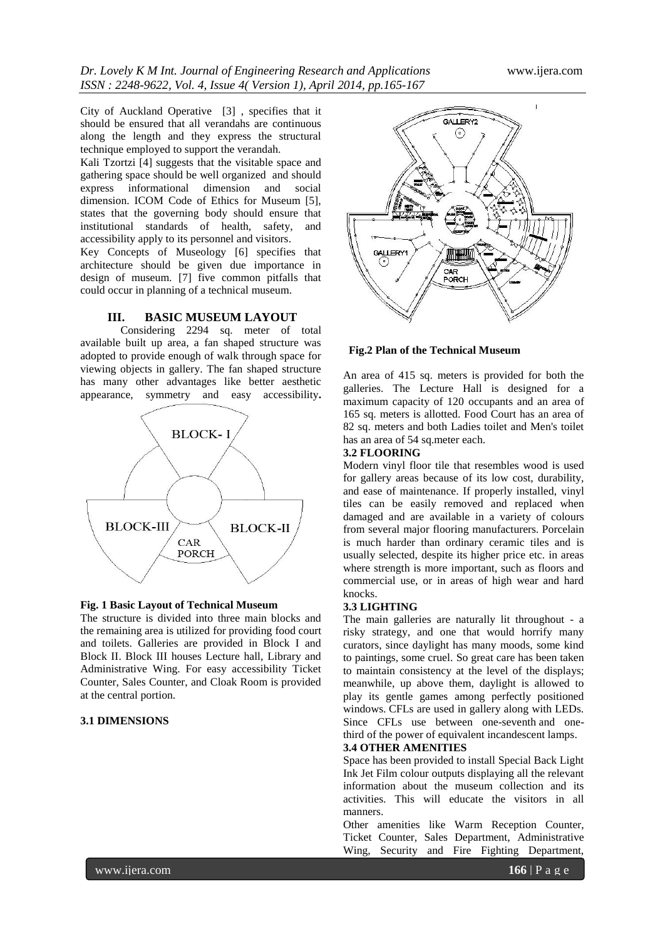City of Auckland Operative [3] , specifies that it should be ensured that all verandahs are continuous along the length and they express the structural technique employed to support the verandah.

Kali Tzortzi [4] suggests that the visitable space and gathering space should be well organized and should express informational dimension and social dimension. ICOM Code of Ethics for Museum [5], states that the governing body should ensure that institutional standards of health, safety, and accessibility apply to its personnel and visitors.

Key Concepts of Museology [6] specifies that architecture should be given due importance in design of museum. [7] five common pitfalls that could occur in planning of a technical museum.

#### **III. BASIC MUSEUM LAYOUT**

Considering 2294 sq. meter of total available built up area, a fan shaped structure was adopted to provide enough of walk through space for viewing objects in gallery. The fan shaped structure has many other advantages like better aesthetic appearance, symmetry and easy accessibility**.** 



### **Fig. 1 Basic Layout of Technical Museum**

The structure is divided into three main blocks and the remaining area is utilized for providing food court and toilets. Galleries are provided in Block I and Block II. Block III houses Lecture hall, Library and Administrative Wing. For easy accessibility Ticket Counter, Sales Counter, and Cloak Room is provided at the central portion.

# **3.1 DIMENSIONS**



#### **Fig.2 Plan of the Technical Museum**

An area of 415 sq. meters is provided for both the galleries. The Lecture Hall is designed for a maximum capacity of 120 occupants and an area of 165 sq. meters is allotted. Food Court has an area of 82 sq. meters and both Ladies toilet and Men's toilet has an area of 54 sq.meter each.

## **3.2 FLOORING**

Modern vinyl floor tile that resembles wood is used for gallery areas because of its low cost, durability, and ease of maintenance. If properly installed, vinyl tiles can be easily removed and replaced when damaged and are available in a variety of colours from several major flooring manufacturers. Porcelain is much harder than ordinary ceramic tiles and is usually selected, despite its higher price etc. in areas where strength is more important, such as floors and commercial use, or in areas of high wear and hard knocks.

# **3.3 LIGHTING**

The main galleries are naturally lit throughout - a risky strategy, and one that would horrify many curators, since daylight has many moods, some kind to paintings, some cruel. So great care has been taken to maintain consistency at the level of the displays; meanwhile, up above them, daylight is allowed to play its gentle games among perfectly positioned windows. CFLs are used in gallery along with LEDs. Since CFLs use between one-seventh and onethird of the power of equivalent incandescent lamps.

#### **3.4 OTHER AMENITIES**

Space has been provided to install Special Back Light Ink Jet Film colour outputs displaying all the relevant information about the museum collection and its activities. This will educate the visitors in all manners.

Other amenities like Warm Reception Counter, Ticket Counter, Sales Department, Administrative Wing, Security and Fire Fighting Department,